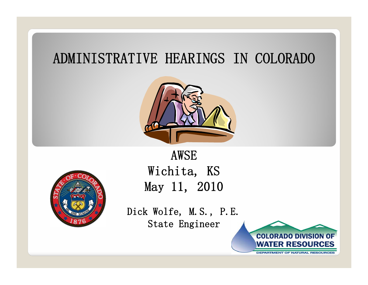## ADMINISTRATIVE HEARINGS IN COLORADO





AWSEWichita, KS May 11, 2010

Dick Wolfe, M.S., P.E. State Engineer

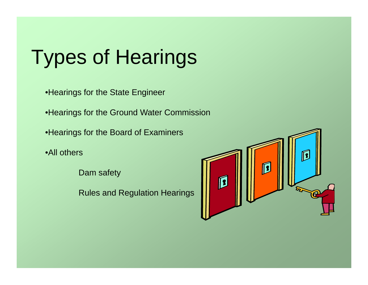#### **Types of Heari** ypes or Hear f Hearings

•Hearings for the State Enginee r

•Hearings for the Ground Water Commission

•Hearings for the Board of Examiners

•All others

Dam safety

Rules and Regulation Hearings

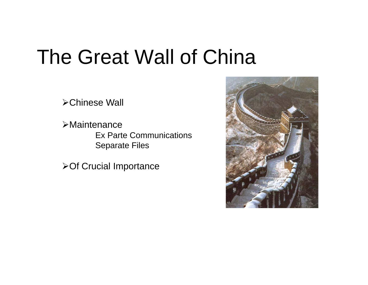## The Great Wall of China

Chinese Wall

Maintenance Ex Parte Communications Separate Files

**≻Of Crucial Importance** 

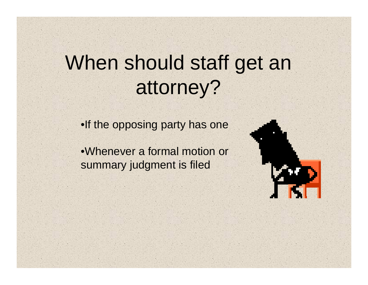## When should staff get an attorney?

•If the opposing party has one

•Whenever a formal motion or summary judgment is filed

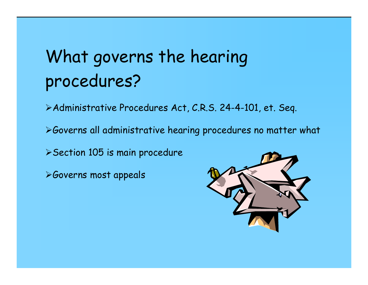## What governs the hearing procedures?

Administrative Procedures Act, C.R.S. 24-4-101, et. Seq.

Governs all administrative hearing procedures no matter what

Section 105 is main procedure

Governs most appeals

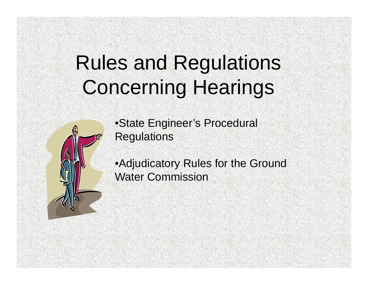## Rules and Regulations Concerning Hearings



•State Engineer's Procedural **Regulations** 

•Adjudicatory Rules for the Ground Water Commission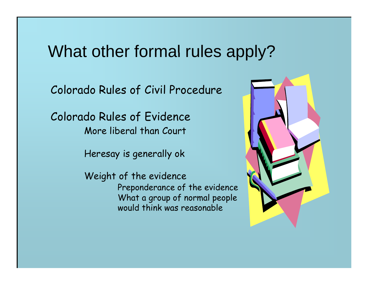### What other formal rules apply?

Colorado Rules of Civil Procedure

Colorado Rules of Evidence More liberal than Court

Heresay is generally ok

Weight of the evidence Preponderance of the evidence What a group of normal people would think was reasonable

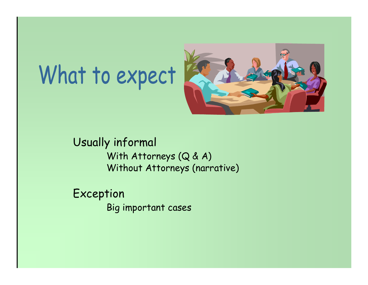# What to expect



Usually informal With Attorneys  $(Q & A)$ Without Attorneys (narrative)

Exception Big important cases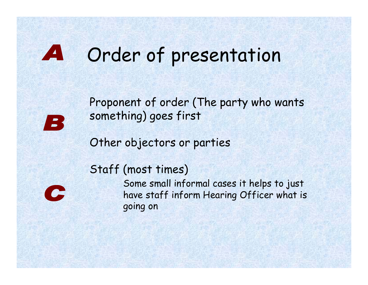### A Order of presentation

Proponent of order (The party who wants something) goes first

Other objectors or parties

### Staff (most times)



Some small informal cases it helps to just have staff inform Hearing Officer what is going on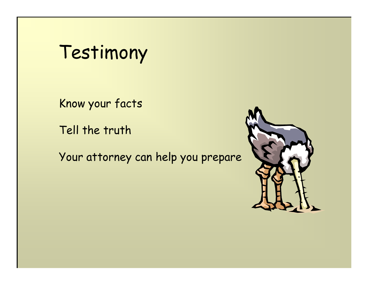Testimony

Know your facts

Tell the truth

Your attorney can help you prepare

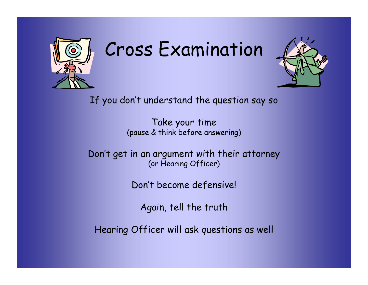

## Cross Examination



If you don't understand the question say so

Take your time (pause & think before answering)

Don't get in an argument with their attorney (or Hearing Officer)

Don't become defensive!

Again, tell the truth

Hearing Officer will ask questions as well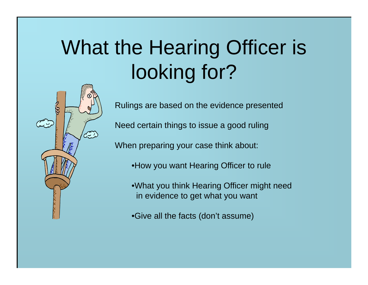# What the Hearing Officer is looking for?



Rulings are based on the evidence presented

Need certain things to issue a good ruling

When preparing your case think about:

- •How you want Hearing Officer to rule
- •What you think Hearing Officer might need in evidence to get what you want
- •Give all the facts (don't assume)